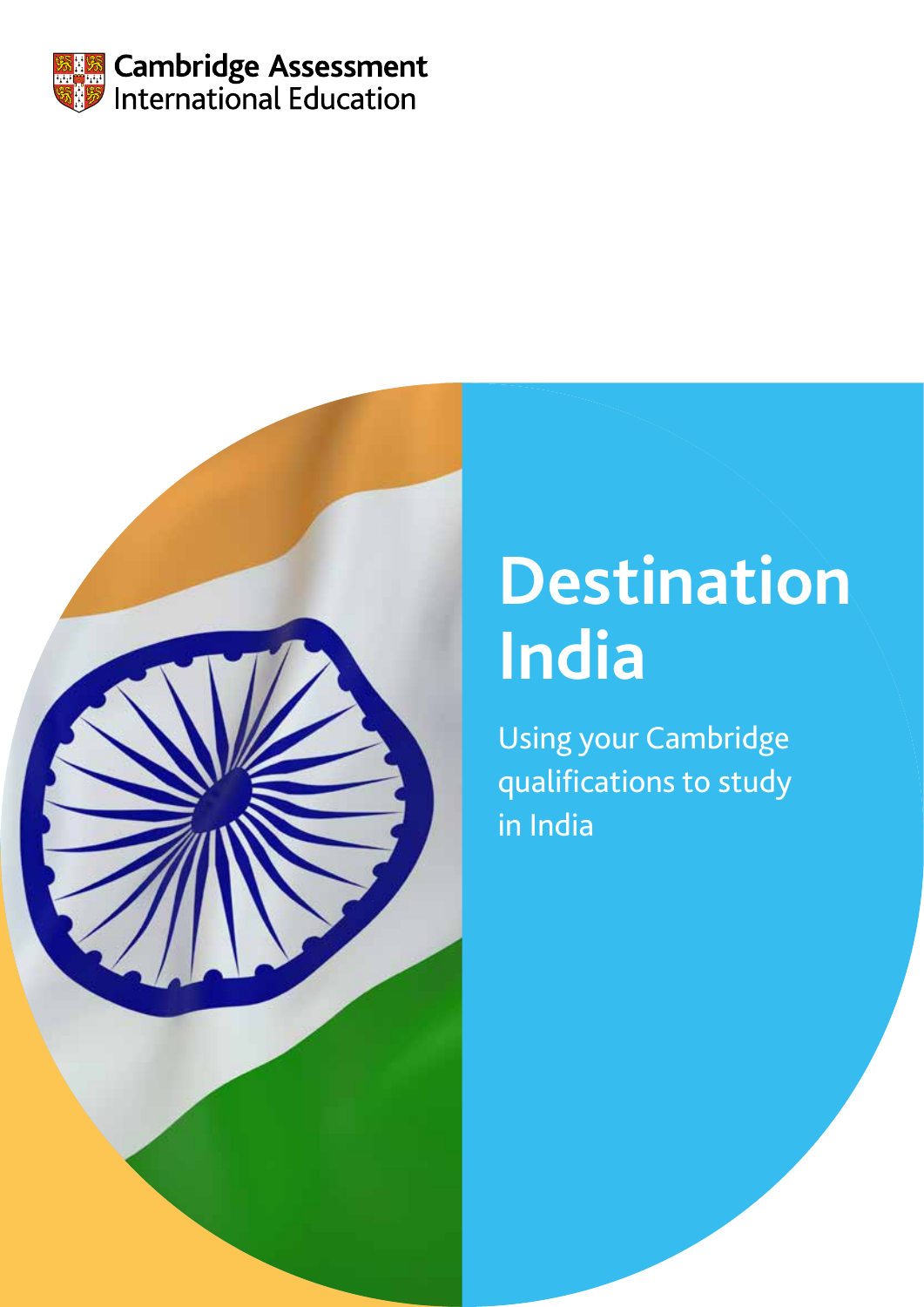



# **Destination India**

Using your Cambridge qualifications to study in India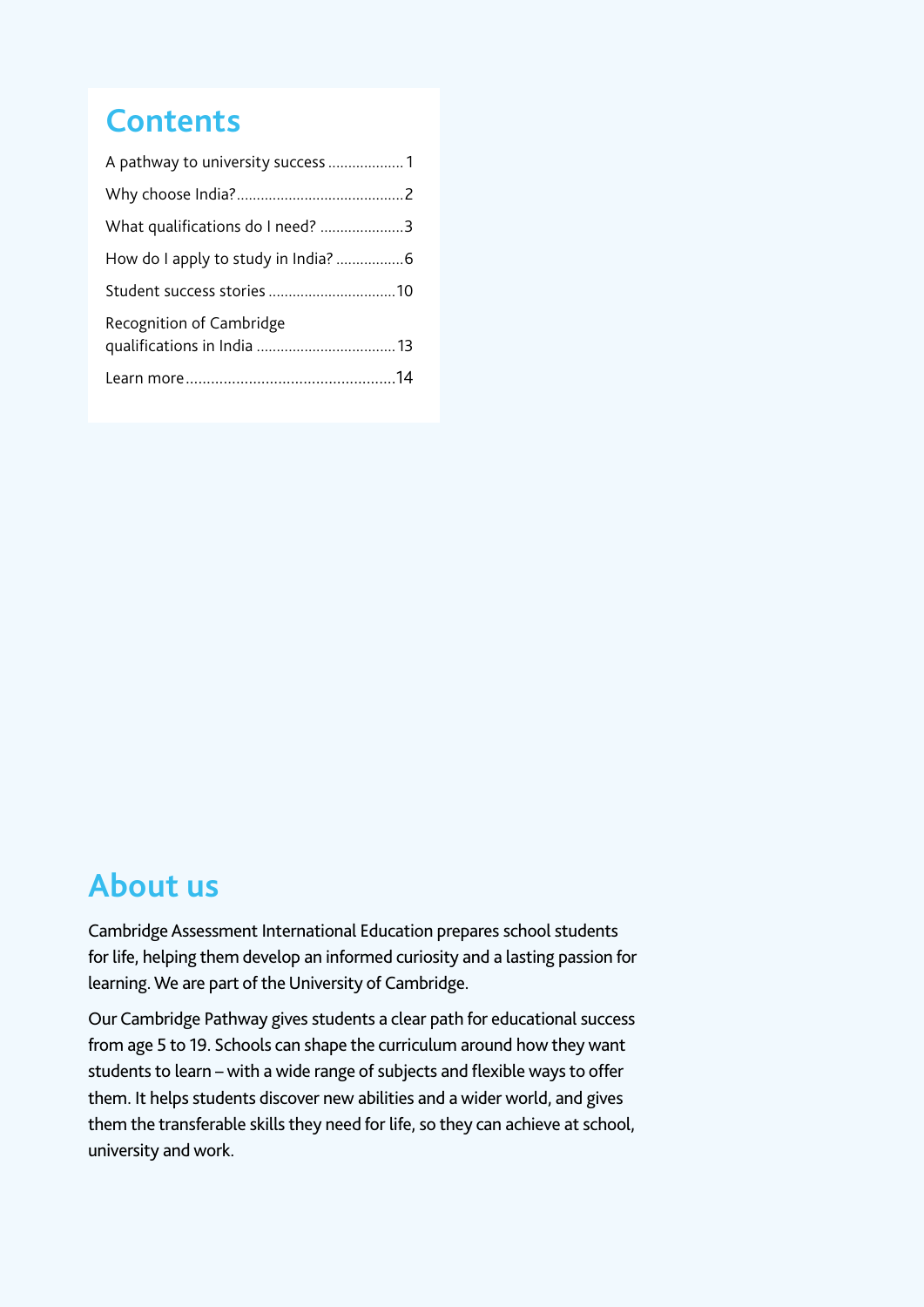### **Contents**

| What qualifications do I need? 3 |  |
|----------------------------------|--|
|                                  |  |
|                                  |  |
| Recognition of Cambridge         |  |
|                                  |  |

### **About us**

Cambridge Assessment International Education prepares school students for life, helping them develop an informed curiosity and a lasting passion for learning. We are part of the University of Cambridge.

Our Cambridge Pathway gives students a clear path for educational success from age 5 to 19. Schools can shape the curriculum around how they want students to learn – with a wide range of subjects and flexible ways to offer them. It helps students discover new abilities and a wider world, and gives them the transferable skills they need for life, so they can achieve at school, university and work.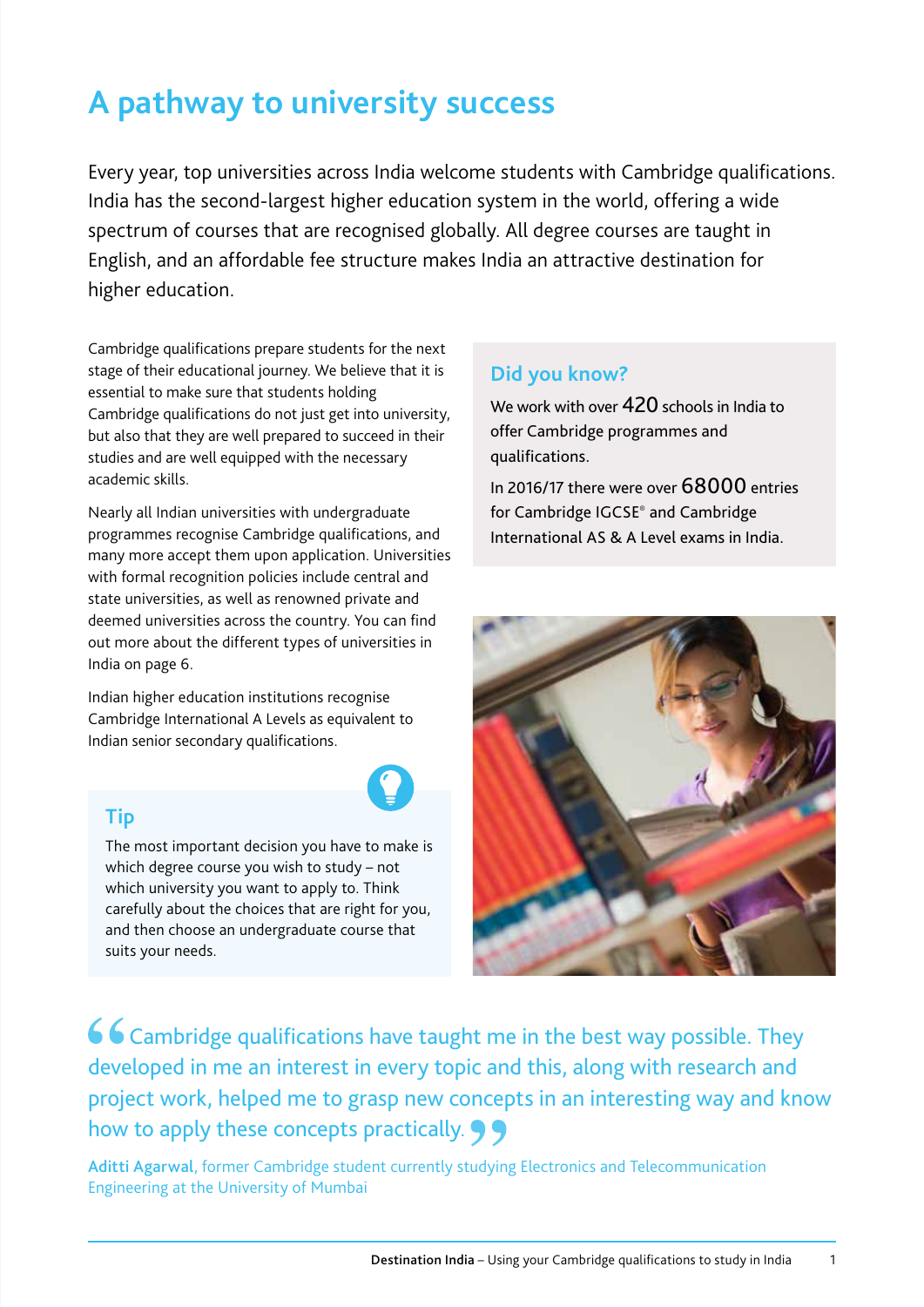# **A pathway to university success**

Every year, top universities across India welcome students with Cambridge qualifications. India has the second-largest higher education system in the world, offering a wide spectrum of courses that are recognised globally. All degree courses are taught in English, and an affordable fee structure makes India an attractive destination for higher education.

Cambridge qualifications prepare students for the next stage of their educational journey. We believe that it is essential to make sure that students holding Cambridge qualifications do not just get into university, but also that they are well prepared to succeed in their studies and are well equipped with the necessary academic skills.

Nearly all Indian universities with undergraduate programmes recognise Cambridge qualifications, and many more accept them upon application. Universities with formal recognition policies include central and state universities, as well as renowned private and deemed universities across the country. You can find out more about the different types of universities in India on page 6.

Indian higher education institutions recognise Cambridge International A Levels as equivalent to Indian senior secondary qualifications.

#### **Tip**

The most important decision you have to make is which degree course you wish to study – not which university you want to apply to. Think carefully about the choices that are right for you, and then choose an undergraduate course that suits your needs.

#### **Did you know?**

We work with over 420 schools in India to offer Cambridge programmes and qualifications.

In 2016/17 there were over 68000 entries for Cambridge IGCSE® and Cambridge International AS & A Level exams in India.



66 Cambridge qualifications have taught me in the best way possible. They developed in me an interest in every topic and this, along with research and project work, helped me to grasp new concepts in an interesting way and know how to apply these concepts practically.  $\bigcirc$ 

Aditti Agarwal, former Cambridge student currently studying Electronics and Telecommunication Engineering at the University of Mumbai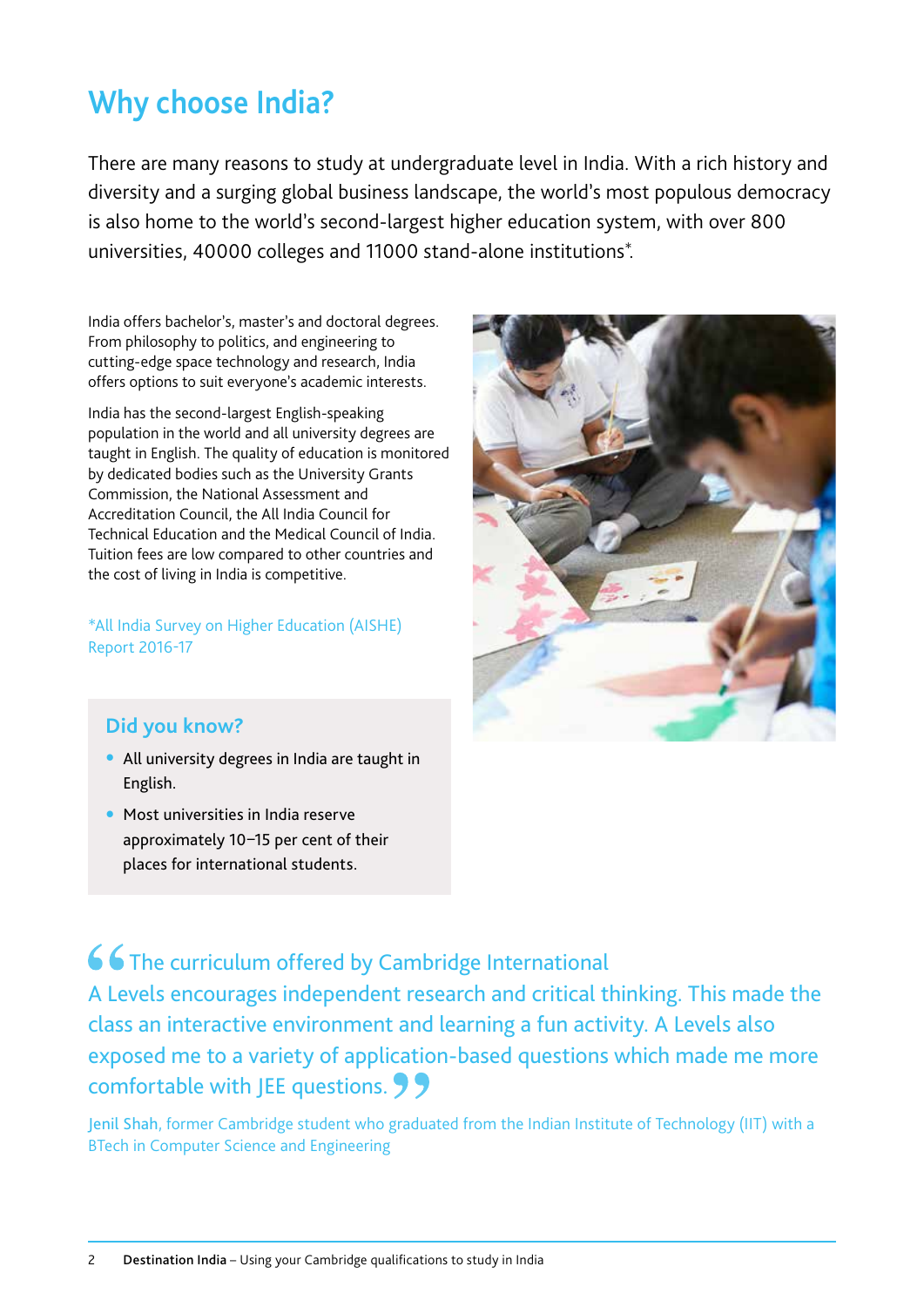### **Why choose India?**

There are many reasons to study at undergraduate level in India. With a rich history and diversity and a surging global business landscape, the world's most populous democracy is also home to the world's second-largest higher education system, with over 800 universities, 40000 colleges and 11000 stand-alone institutions\*.

India offers bachelor's, master's and doctoral degrees. From philosophy to politics, and engineering to cutting-edge space technology and research, India offers options to suit everyone's academic interests.

India has the second-largest English-speaking population in the world and all university degrees are taught in English. The quality of education is monitored by dedicated bodies such as the University Grants Commission, the National Assessment and Accreditation Council, the All India Council for Technical Education and the Medical Council of India. Tuition fees are low compared to other countries and the cost of living in India is competitive.

\*All India Survey on Higher Education (AISHE) Report 2016-17



#### **Did you know?**

- All university degrees in India are taught in English.
- Most universities in India reserve approximately 10–15 per cent of their places for international students.

66 The curriculum offered by Cambridge International A Levels encourages independent research and critical thinking. This made the class an interactive environment and learning a fun activity. A Levels also exposed me to a variety of application-based questions which made me more comfortable with JEE questions. 99

Jenil Shah, former Cambridge student who graduated from the Indian Institute of Technology (IIT) with a BTech in Computer Science and Engineering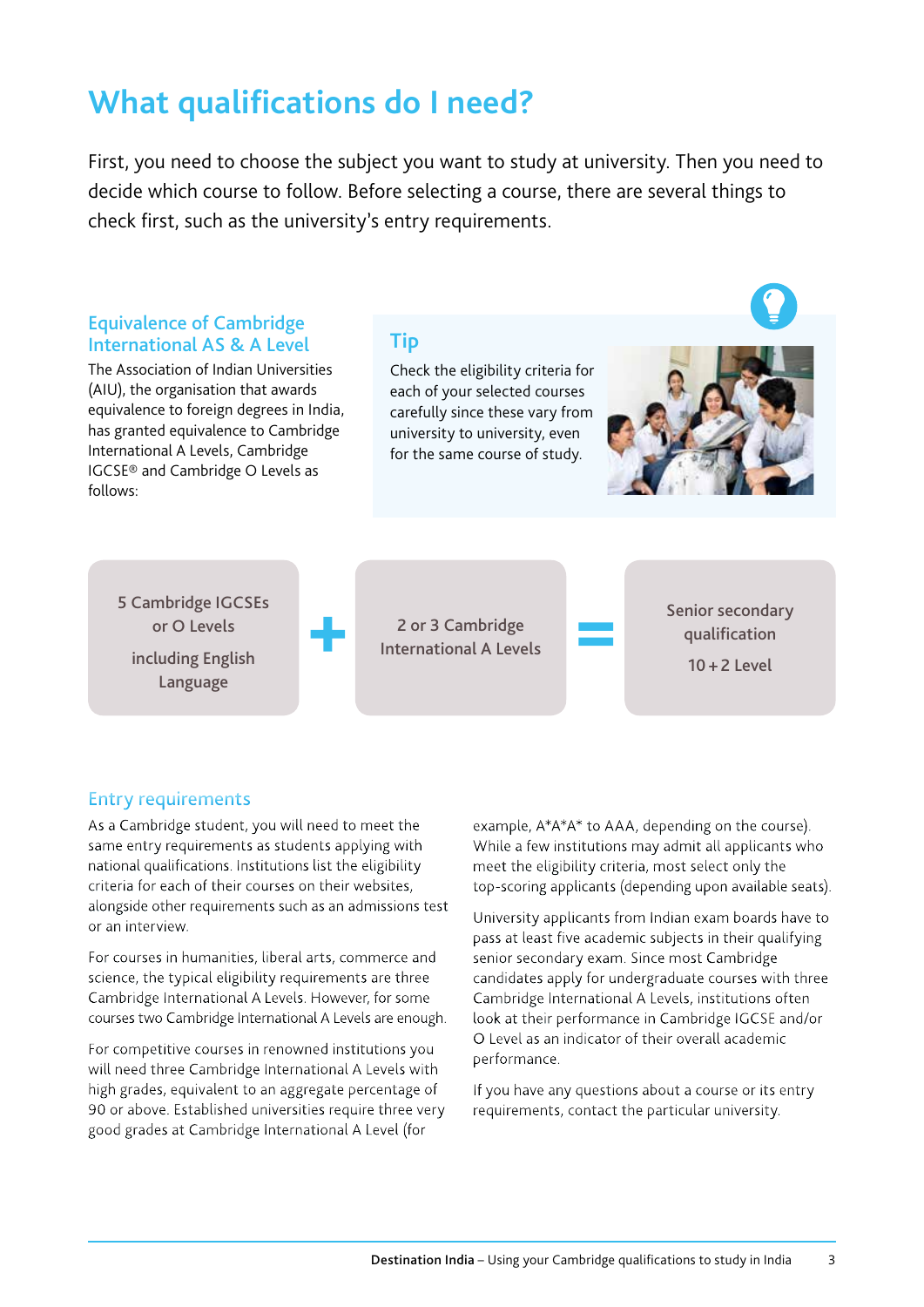### **What qualifications do I need?**

First, you need to choose the subject you want to study at university. Then you need to decide which course to follow. Before selecting a course, there are several things to check first, such as the university's entry requirements.



#### Entry requirements

As a Cambridge student, you will need to meet the same entry requirements as students applying with national qualifications. Institutions list the eligibility criteria for each of their courses on their websites, alongside other requirements such as an admissions test or an interview.

For courses in humanities, liberal arts, commerce and science, the typical eligibility requirements are three Cambridge International A Levels. However, for some courses two Cambridge International A Levels are enough.

For competitive courses in renowned institutions you will need three Cambridge International A Levels with high grades, equivalent to an aggregate percentage of 90 or above. Established universities require three very good grades at Cambridge International A Level (for

example, A\*A\*A\* to AAA, depending on the course). While a few institutions may admit all applicants who meet the eligibility criteria, most select only the top-scoring applicants (depending upon available seats).

University applicants from Indian exam boards have to pass at least five academic subjects in their qualifying senior secondary exam. Since most Cambridge candidates apply for undergraduate courses with three Cambridge International A Levels, institutions often look at their performance in Cambridge IGCSE and/or O Level as an indicator of their overall academic performance.

If you have any questions about a course or its entry requirements, contact the particular university.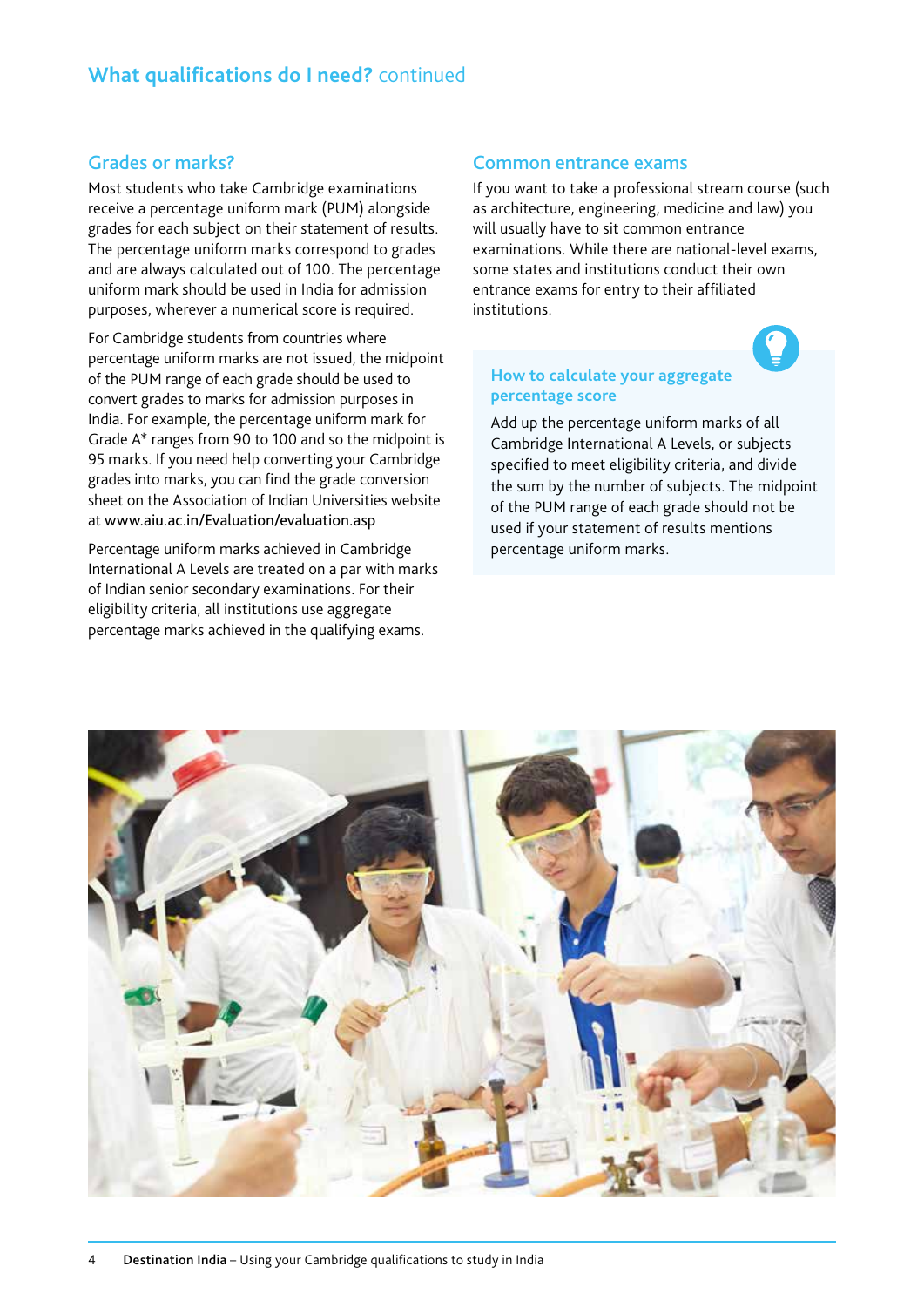#### Grades or marks?

Most students who take Cambridge examinations receive a percentage uniform mark (PUM) alongside grades for each subject on their statement of results. The percentage uniform marks correspond to grades and are always calculated out of 100. The percentage uniform mark should be used in India for admission purposes, wherever a numerical score is required.

For Cambridge students from countries where percentage uniform marks are not issued, the midpoint of the PUM range of each grade should be used to convert grades to marks for admission purposes in India. For example, the percentage uniform mark for Grade A\* ranges from 90 to 100 and so the midpoint is 95 marks. If you need help converting your Cambridge grades into marks, you can find the grade conversion sheet on the Association of Indian Universities website at www.aiu.ac.in/Evaluation/evaluation.asp

Percentage uniform marks achieved in Cambridge International A Levels are treated on a par with marks of Indian senior secondary examinations. For their eligibility criteria, all institutions use aggregate percentage marks achieved in the qualifying exams.

#### Common entrance exams

If you want to take a professional stream course (such as architecture, engineering, medicine and law) you will usually have to sit common entrance examinations. While there are national-level exams, some states and institutions conduct their own entrance exams for entry to their affiliated institutions.

#### **How to calculate your aggregate percentage score**

Add up the percentage uniform marks of all Cambridge International A Levels, or subjects specified to meet eligibility criteria, and divide the sum by the number of subjects. The midpoint of the PUM range of each grade should not be used if your statement of results mentions percentage uniform marks.

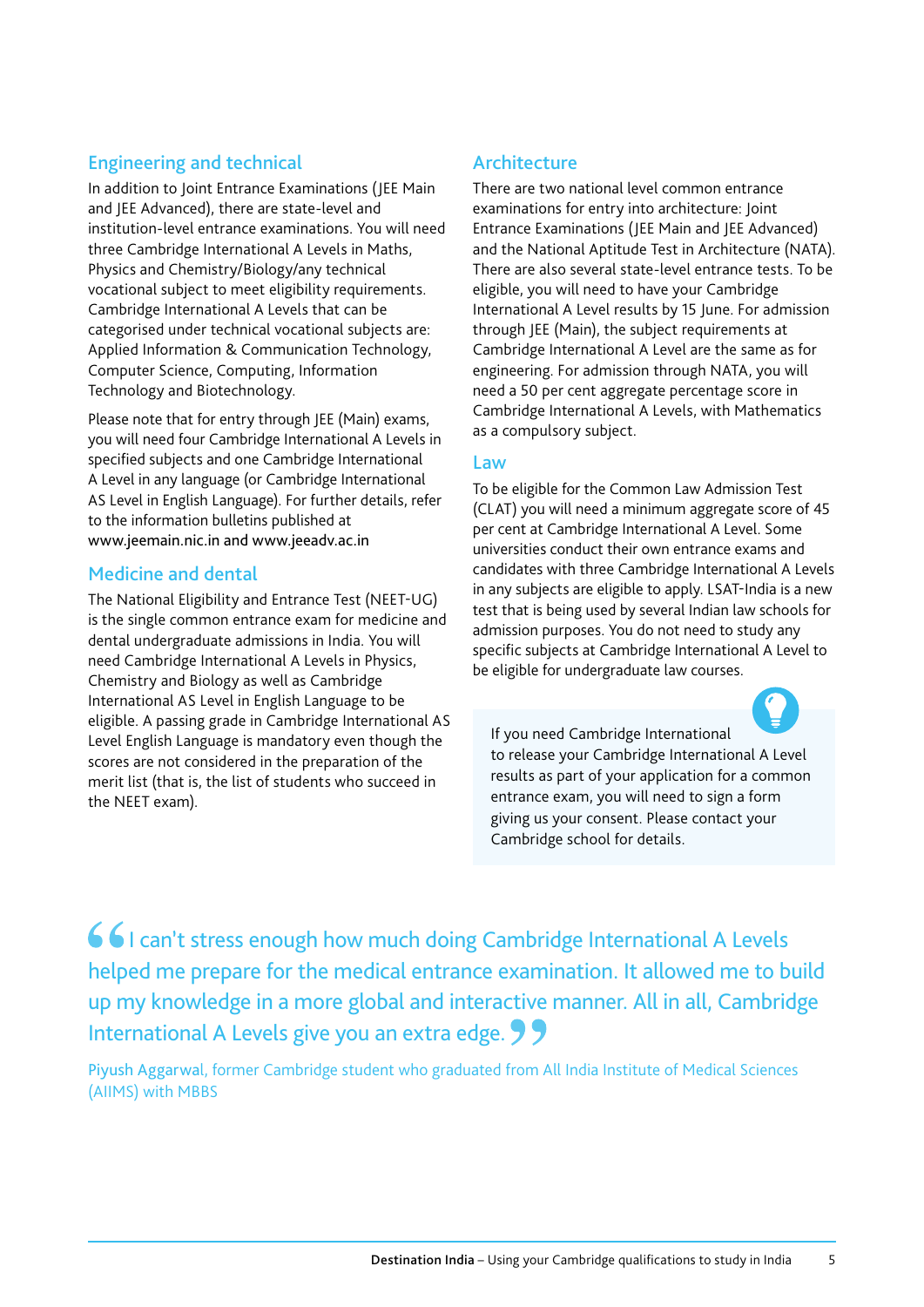#### Engineering and technical

In addition to Joint Entrance Examinations (JEE Main and JEE Advanced), there are state-level and institution-level entrance examinations. You will need three Cambridge International A Levels in Maths, Physics and Chemistry/Biology/any technical vocational subject to meet eligibility requirements. Cambridge International A Levels that can be categorised under technical vocational subjects are: Applied Information & Communication Technology, Computer Science, Computing, Information Technology and Biotechnology.

Please note that for entry through JEE (Main) exams, you will need four Cambridge International A Levels in specified subjects and one Cambridge International A Level in any language (or Cambridge International AS Level in English Language). For further details, refer to the information bulletins published at www.jeemain.nic.in and www.jeeadv.ac.in

#### Medicine and dental

The National Eligibility and Entrance Test (NEET-UG) is the single common entrance exam for medicine and dental undergraduate admissions in India. You will need Cambridge International A Levels in Physics, Chemistry and Biology as well as Cambridge International AS Level in English Language to be eligible. A passing grade in Cambridge International AS Level English Language is mandatory even though the scores are not considered in the preparation of the merit list (that is, the list of students who succeed in the NEET exam).

#### Architecture

There are two national level common entrance examinations for entry into architecture: Joint Entrance Examinations (JEE Main and JEE Advanced) and the National Aptitude Test in Architecture (NATA). There are also several state-level entrance tests. To be eligible, you will need to have your Cambridge International A Level results by 15 June. For admission through JEE (Main), the subject requirements at Cambridge International A Level are the same as for engineering. For admission through NATA, you will need a 50 per cent aggregate percentage score in Cambridge International A Levels, with Mathematics as a compulsory subject.

#### Law

To be eligible for the Common Law Admission Test (CLAT) you will need a minimum aggregate score of 45 per cent at Cambridge International A Level. Some universities conduct their own entrance exams and candidates with three Cambridge International A Levels in any subjects are eligible to apply. LSAT-India is a new test that is being used by several Indian law schools for admission purposes. You do not need to study any specific subjects at Cambridge International A Level to be eligible for undergraduate law courses.

If you need Cambridge International to release your Cambridge International A Level results as part of your application for a common entrance exam, you will need to sign a form giving us your consent. Please contact your Cambridge school for details.

66 I can't stress enough how much doing Cambridge International A Levels helped me prepare for the medical entrance examination. It allowed me to build up my knowledge in a more global and interactive manner. All in all, Cambridge International A Levels give you an extra edge. 99

Piyush Aggarwal, former Cambridge student who graduated from All India Institute of Medical Sciences (AIIMS) with MBBS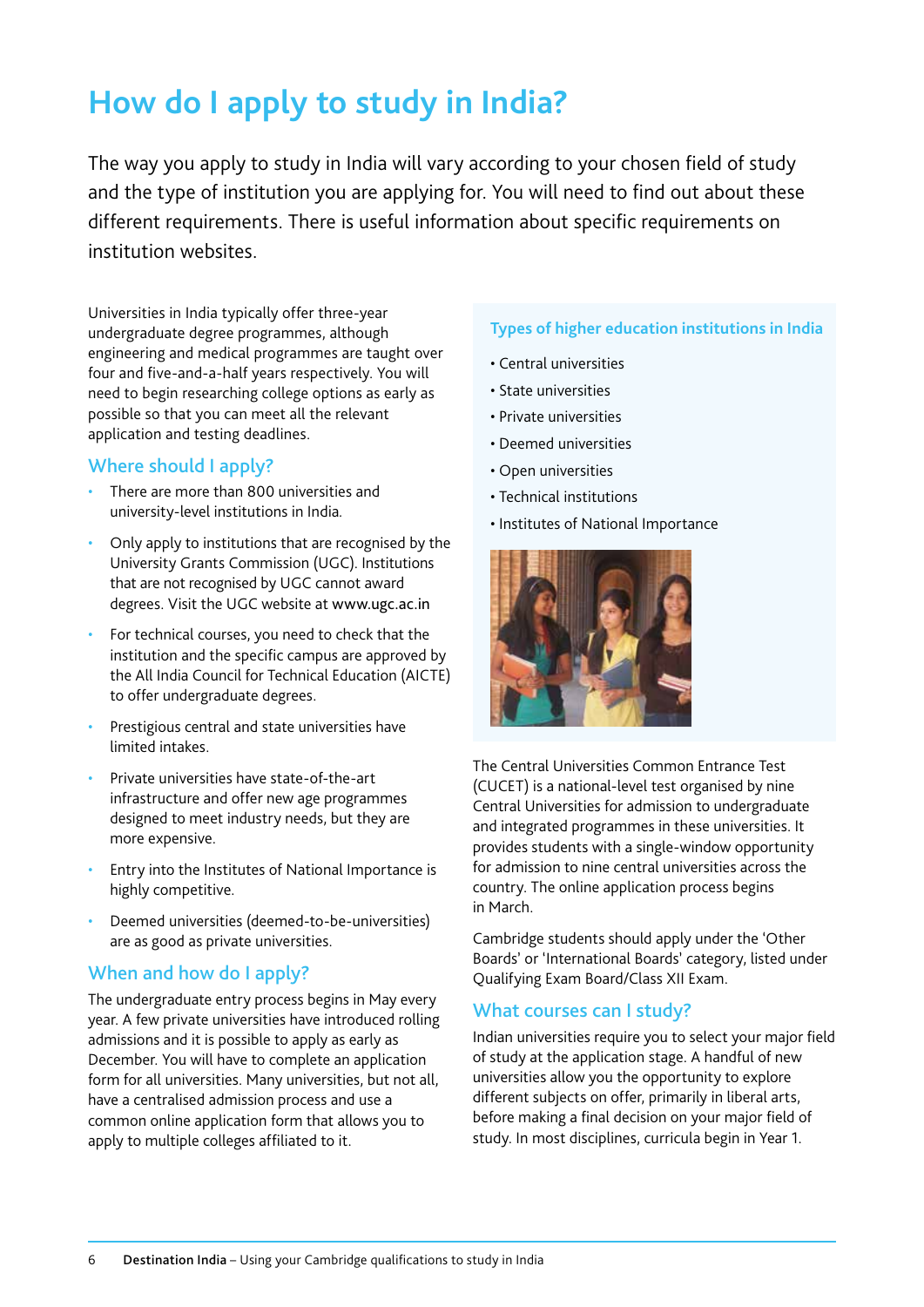## **How do I apply to study in India?**

The way you apply to study in India will vary according to your chosen field of study and the type of institution you are applying for. You will need to find out about these different requirements. There is useful information about specific requirements on institution websites.

Universities in India typically offer three-year undergraduate degree programmes, although engineering and medical programmes are taught over four and five-and-a-half years respectively. You will need to begin researching college options as early as possible so that you can meet all the relevant application and testing deadlines.

#### Where should I apply?

- There are more than 800 universities and university-level institutions in India*.*
- Only apply to institutions that are recognised by the University Grants Commission (UGC). Institutions that are not recognised by UGC cannot award degrees. Visit the UGC website at www.ugc.ac.in
- For technical courses, you need to check that the institution and the specific campus are approved by the All India Council for Technical Education (AICTE) to offer undergraduate degrees.
- Prestigious central and state universities have limited intakes.
- Private universities have state-of-the-art infrastructure and offer new age programmes designed to meet industry needs, but they are more expensive.
- Entry into the Institutes of National Importance is highly competitive.
- Deemed universities (deemed-to-be-universities) are as good as private universities.

#### When and how do I apply?

The undergraduate entry process begins in May every year. A few private universities have introduced rolling admissions and it is possible to apply as early as December. You will have to complete an application form for all universities. Many universities, but not all, have a centralised admission process and use a common online application form that allows you to apply to multiple colleges affiliated to it.

#### **Types of higher education institutions in India**

- Central universities
- State universities
- Private universities
- Deemed universities
- Open universities
- Technical institutions
- Institutes of National Importance



The Central Universities Common Entrance Test (CUCET) is a national-level test organised by nine Central Universities for admission to undergraduate and integrated programmes in these universities. It provides students with a single-window opportunity for admission to nine central universities across the country. The online application process begins in March.

Cambridge students should apply under the 'Other Boards' or 'International Boards' category, listed under Qualifying Exam Board/Class XII Exam.

#### What courses can I study?

Indian universities require you to select your major field of study at the application stage. A handful of new universities allow you the opportunity to explore different subjects on offer, primarily in liberal arts, before making a final decision on your major field of study. In most disciplines, curricula begin in Year 1.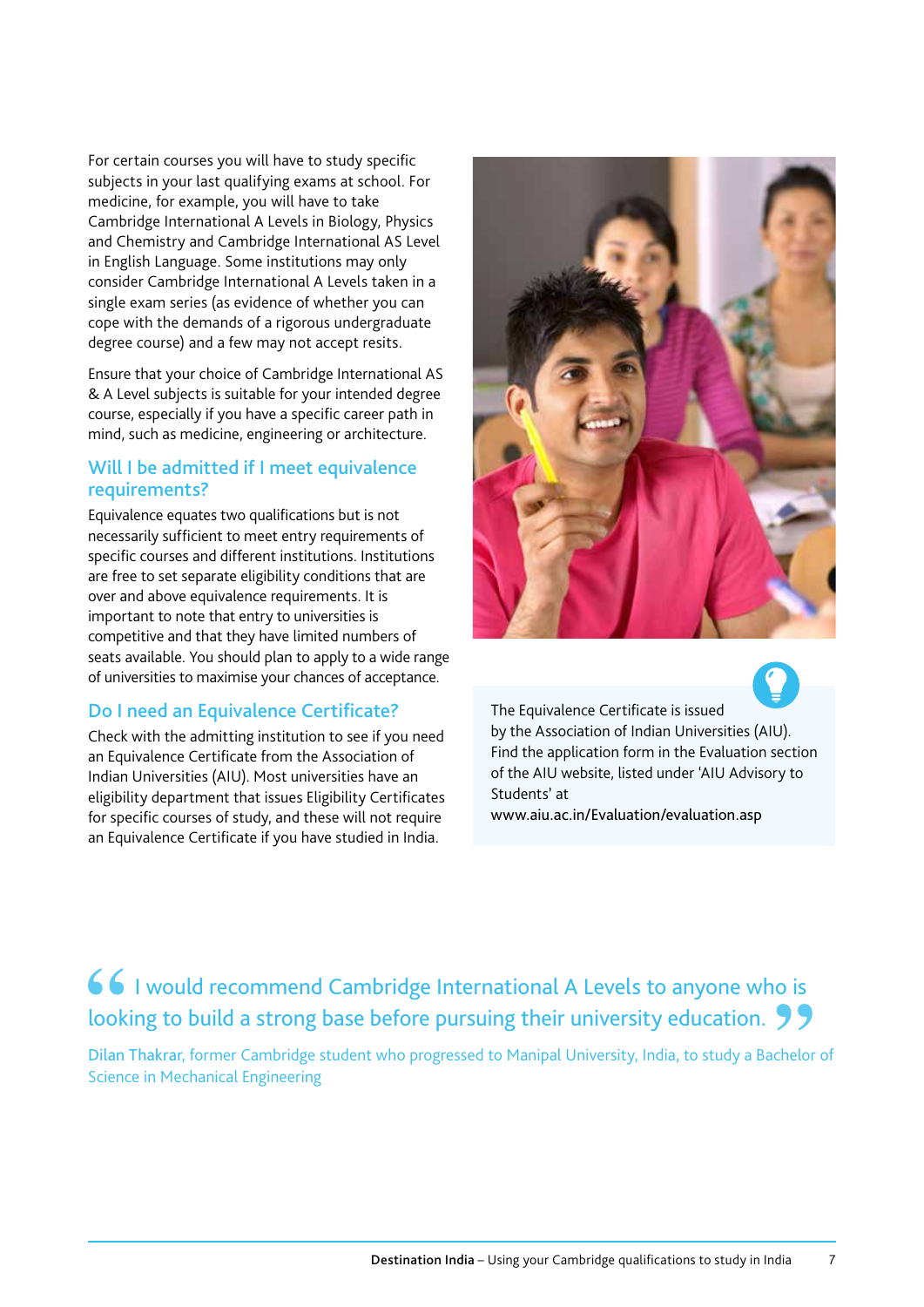For certain courses you will have to study specific subjects in your last qualifying exams at school. For medicine, for example, you will have to take Cambridge International A Levels in Biology, Physics and Chemistry and Cambridge International AS Level in English Language. Some institutions may only consider Cambridge International A Levels taken in a single exam series (as evidence of whether you can cope with the demands of a rigorous undergraduate degree course) and a few may not accept resits.

Ensure that your choice of Cambridge International AS & A Level subjects is suitable for your intended degree course, especially if you have a specific career path in mind, such as medicine, engineering or architecture.

#### Will I be admitted if I meet equivalence requirements?

Equivalence equates two qualifications but is not necessarily sufficient to meet entry requirements of specific courses and different institutions. Institutions are free to set separate eligibility conditions that are over and above equivalence requirements. It is important to note that entry to universities is competitive and that they have limited numbers of seats available. You should plan to apply to a wide range of universities to maximise your chances of acceptance.

#### Do I need an Equivalence Certificate?

Check with the admitting institution to see if you need an Equivalence Certificate from the Association of Indian Universities (AIU). Most universities have an eligibility department that issues Eligibility Certificates for specific courses of study, and these will not require an Equivalence Certificate if you have studied in India.



The Equivalence Certificate is issued by the Association of Indian Universities (AIU). Find the application form in the Evaluation section of the AIU website, listed under 'AIU Advisory to Students' at www.aiu.ac.in/Evaluation/evaluation.asp

### 66 I would recommend Cambridge International A Levels to anyone who is looking to build a strong base before pursuing their university education. 99

Dilan Thakrar, former Cambridge student who progressed to Manipal University, India, to study a Bachelor of Science in Mechanical Engineering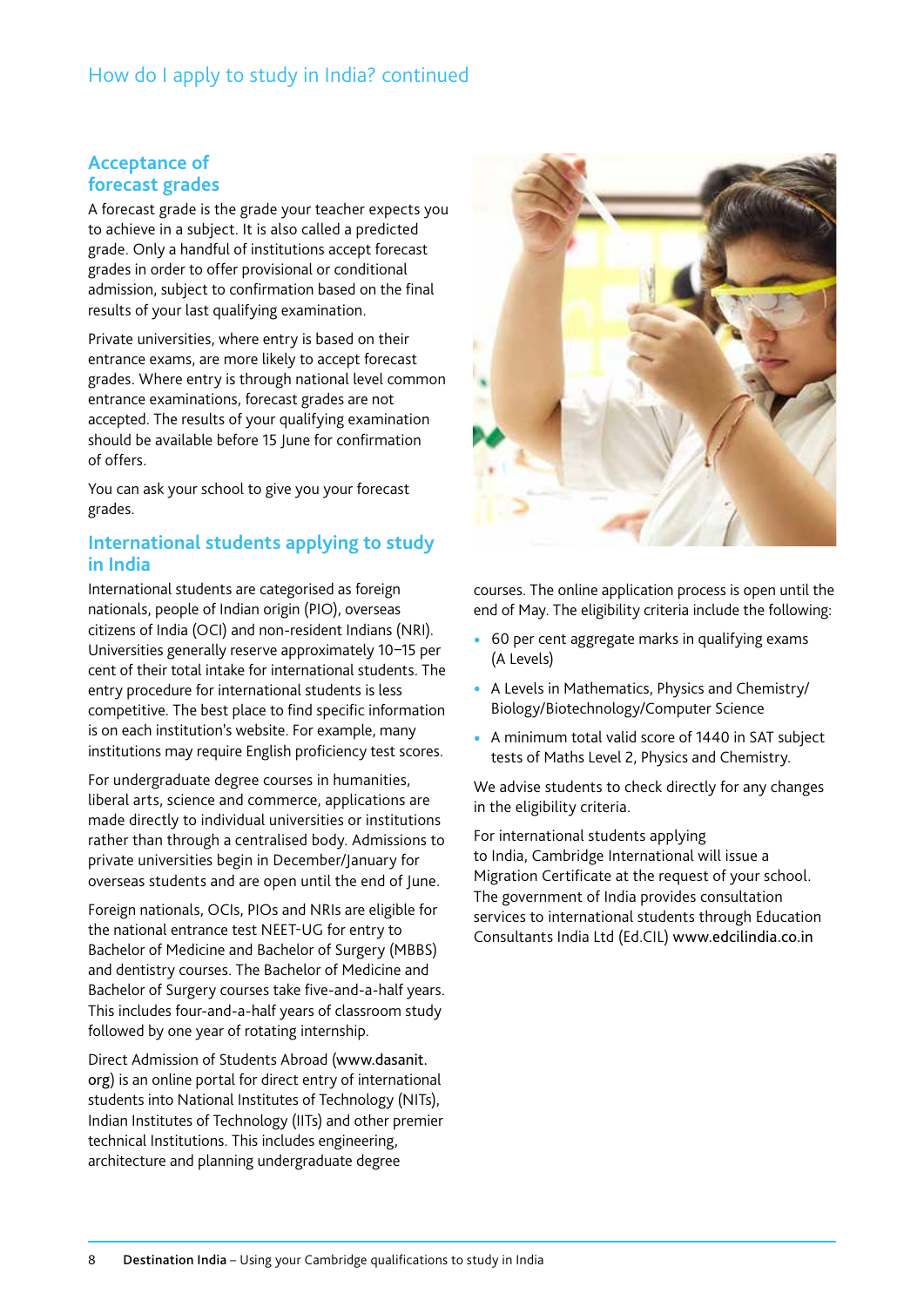#### How do I apply to study in India? continued

#### **Acceptance of forecast grades**

A forecast grade is the grade your teacher expects you to achieve in a subject. It is also called a predicted grade. Only a handful of institutions accept forecast grades in order to offer provisional or conditional admission, subject to confirmation based on the final results of your last qualifying examination.

Private universities, where entry is based on their entrance exams, are more likely to accept forecast grades. Where entry is through national level common entrance examinations, forecast grades are not accepted. The results of your qualifying examination should be available before 15 June for confirmation of offers.

You can ask your school to give you your forecast grades.

#### **International students applying to study in India**

International students are categorised as foreign nationals, people of Indian origin (PIO), overseas citizens of India (OCI) and non-resident Indians (NRI). Universities generally reserve approximately 10–15 per cent of their total intake for international students. The entry procedure for international students is less competitive. The best place to find specific information is on each institution's website. For example, many institutions may require English proficiency test scores.

For undergraduate degree courses in humanities, liberal arts, science and commerce, applications are made directly to individual universities or institutions rather than through a centralised body. Admissions to private universities begin in December/January for overseas students and are open until the end of June.

Foreign nationals, OCIs, PIOs and NRIs are eligible for the national entrance test NEET-UG for entry to Bachelor of Medicine and Bachelor of Surgery (MBBS) and dentistry courses. The Bachelor of Medicine and Bachelor of Surgery courses take five-and-a-half years. This includes four-and-a-half years of classroom study followed by one year of rotating internship.

Direct Admission of Students Abroad (www.dasanit. org) is an online portal for direct entry of international students into National Institutes of Technology (NITs), Indian Institutes of Technology (IITs) and other premier technical Institutions. This includes engineering, architecture and planning undergraduate degree



courses. The online application process is open until the end of May. The eligibility criteria include the following:

- 60 per cent aggregate marks in qualifying exams (A Levels)
- A Levels in Mathematics, Physics and Chemistry/ Biology/Biotechnology/Computer Science
- A minimum total valid score of 1440 in SAT subject tests of Maths Level 2, Physics and Chemistry.

We advise students to check directly for any changes in the eligibility criteria.

For international students applying to India, Cambridge International will issue a Migration Certificate at the request of your school. The government of India provides consultation services to international students through Education Consultants India Ltd (Ed.CIL) www.edcilindia.co.in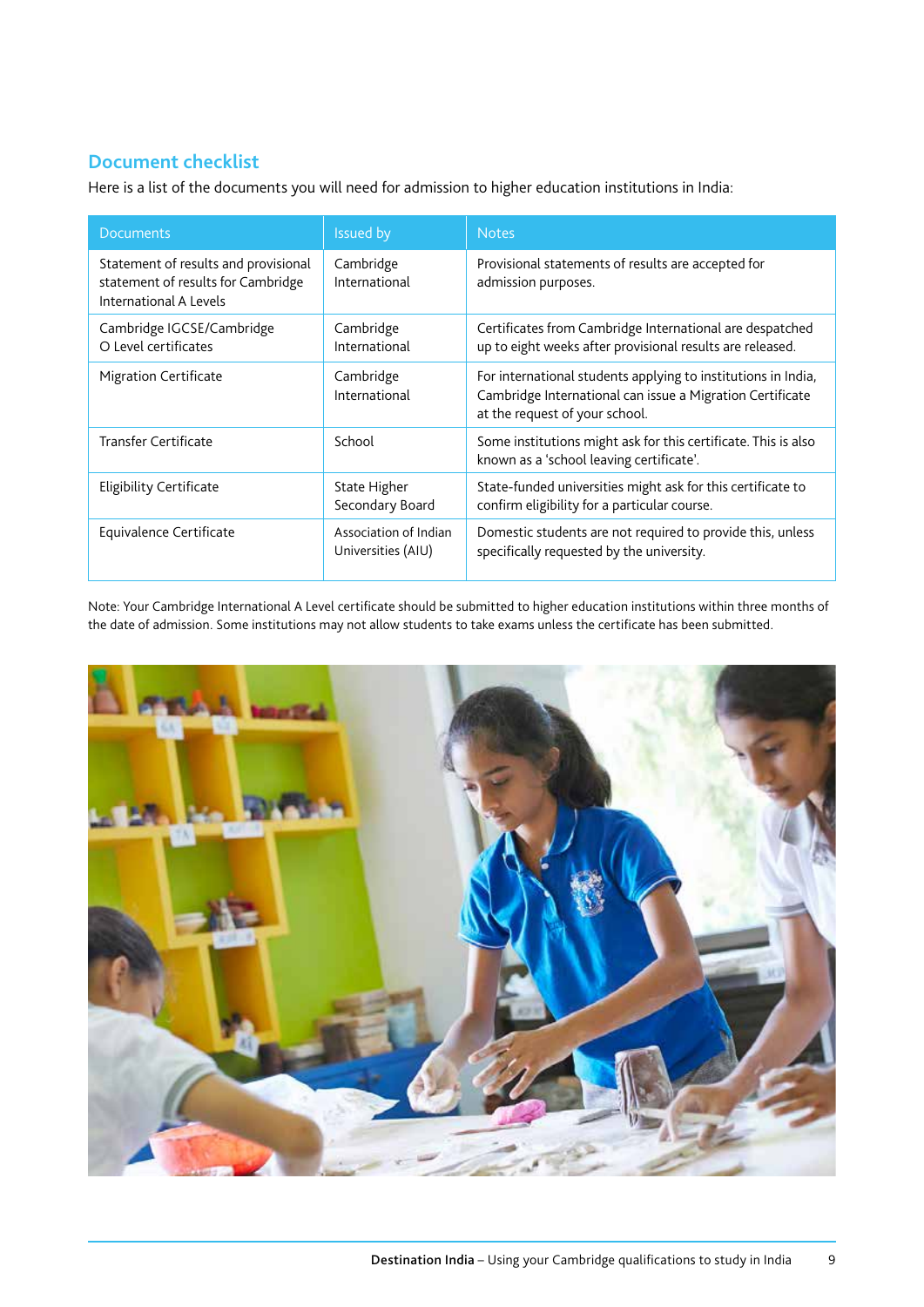#### **Document checklist**

Here is a list of the documents you will need for admission to higher education institutions in India:

| <b>Documents</b>                                                                                     | Issued by                                   | <b>Notes</b>                                                                                                                                                 |  |
|------------------------------------------------------------------------------------------------------|---------------------------------------------|--------------------------------------------------------------------------------------------------------------------------------------------------------------|--|
| Statement of results and provisional<br>statement of results for Cambridge<br>International A Levels | Cambridge<br>International                  | Provisional statements of results are accepted for<br>admission purposes.                                                                                    |  |
| Cambridge IGCSE/Cambridge<br>O Level certificates                                                    | Cambridge<br>International                  | Certificates from Cambridge International are despatched<br>up to eight weeks after provisional results are released.                                        |  |
| <b>Migration Certificate</b>                                                                         | Cambridge<br>International                  | For international students applying to institutions in India,<br>Cambridge International can issue a Migration Certificate<br>at the request of your school. |  |
| <b>Transfer Certificate</b>                                                                          | School                                      | Some institutions might ask for this certificate. This is also<br>known as a 'school leaving certificate'.                                                   |  |
| <b>Eligibility Certificate</b>                                                                       | State Higher<br>Secondary Board             | State-funded universities might ask for this certificate to<br>confirm eligibility for a particular course.                                                  |  |
| Equivalence Certificate                                                                              | Association of Indian<br>Universities (AIU) | Domestic students are not required to provide this, unless<br>specifically requested by the university.                                                      |  |

Note: Your Cambridge International A Level certificate should be submitted to higher education institutions within three months of the date of admission. Some institutions may not allow students to take exams unless the certificate has been submitted.

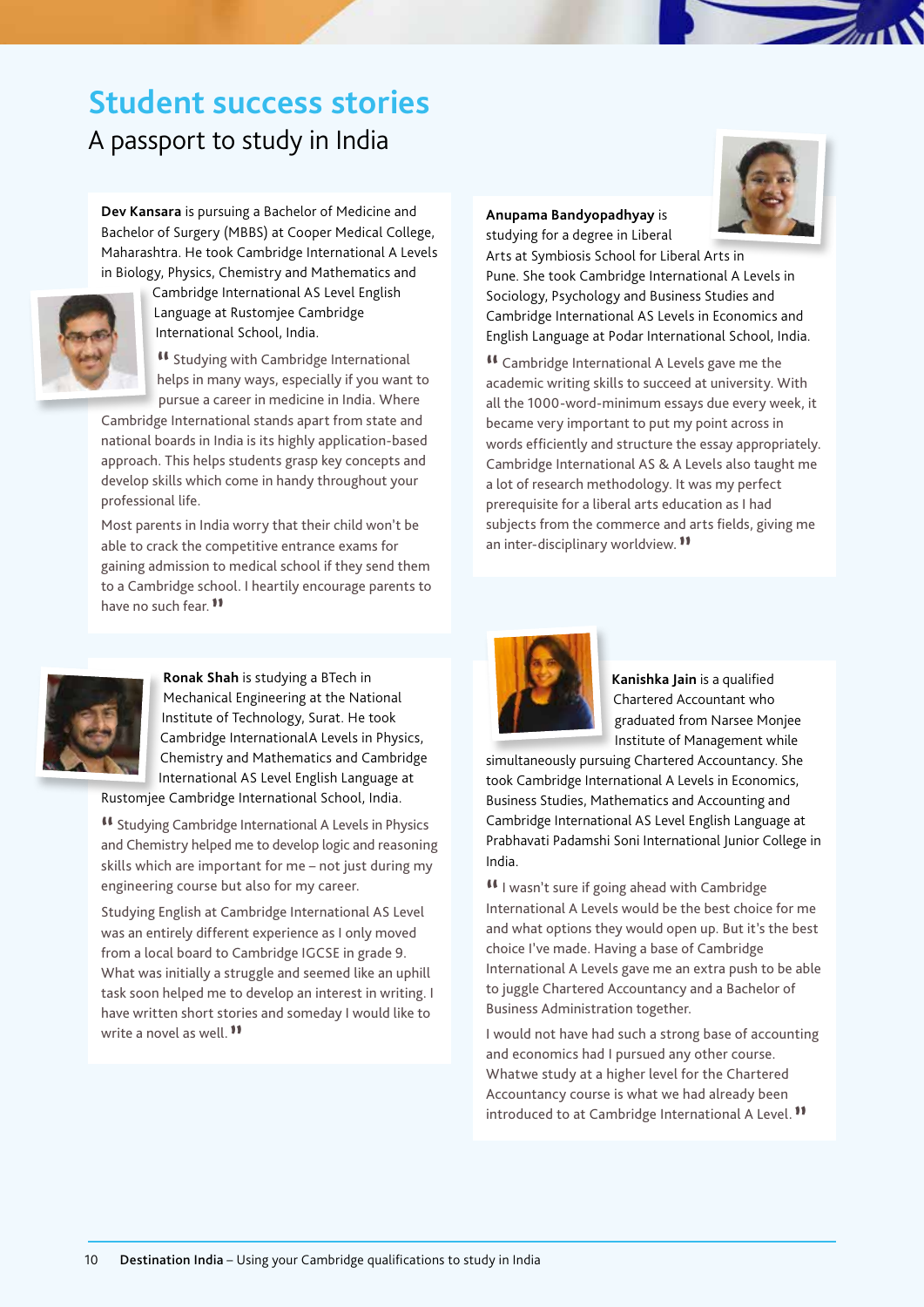# **Student success stories**

A passport to study in India

**Dev Kansara** is pursuing a Bachelor of Medicine and Bachelor of Surgery (MBBS) at Cooper Medical College, Maharashtra. He took Cambridge International A Levels in Biology, Physics, Chemistry and Mathematics and



Cambridge International AS Level English Language at Rustomjee Cambridge International School, India.

**"** Studying with Cambridge International helps in many ways, especially if you want to pursue a career in medicine in India. Where

Cambridge International stands apart from state and national boards in India is its highly application-based approach. This helps students grasp key concepts and develop skills which come in handy throughout your professional life.

Most parents in India worry that their child won't be able to crack the competitive entrance exams for gaining admission to medical school if they send them to a Cambridge school. I heartily encourage parents to have no such fear.**"**



**Ronak Shah** is studying a BTech in Mechanical Engineering at the National Institute of Technology, Surat. He took Cambridge InternationalA Levels in Physics, Chemistry and Mathematics and Cambridge International AS Level English Language at

Rustomjee Cambridge International School, India.

**"** Studying Cambridge International A Levels in Physics and Chemistry helped me to develop logic and reasoning skills which are important for me – not just during my engineering course but also for my career.

Studying English at Cambridge International AS Level was an entirely different experience as I only moved from a local board to Cambridge IGCSE in grade 9. What was initially a struggle and seemed like an uphill task soon helped me to develop an interest in writing. I have written short stories and someday I would like to write a novel as well.**"**

#### **Ander Studying for a degree in Liberal Anupama Bandyopadhyay** is



studying for a degree in Liberal Arts at Symbiosis School for Liberal Arts in Arts at Symbiosis School for Liberal Arts in Pune. She Pune. She took Cambridge International A Levels in Sociology, Psychology and Business Studies and Psychology and Business Studies and Cambridge Cambridge International AS Levels in Economics and International AS Levels in Economics and English Lawrence Language at Podar International School, India. English Language at Podar International School, India.

**"** Cambridge International A Levels gave me the academic writing skills to succeed at university. With academic writing sinite to succeed at university. With all the 1000-word-minimum essays due every week, it all the 1000-wind-minimum essays due every week, it became very important to put my point across in became very important to put my point across in words efficiently and structure the essay appropriately. words efficiently and structure the essay appropriately. Cambridge International AS & A Levels also taught me Cambridge International AS & A Levels also taught me a lot of research methodology. It was my perfect a research communicating, it was my perfect<br>prerequisite for a liberal arts education as I had prerequisite for a liberal artic education as I had  $\sim$  subjects from the commerce and arts fields, giving me subjects from the commerce and arts fields, giving me an inter-disciplinary worldview. **"** an inter-disciplinary worldview. **""** Cambridge International A Levels gave me the



**Kanishka Jain** is a qualified Chartered Accountant who graduated from Narsee Monjee Institute of Management while

simultaneously pursuing Chartered Accountancy. She took Cambridge International A Levels in Economics, Business Studies, Mathematics and Accounting and Cambridge International AS Level English Language at Prabhavati Padamshi Soni International Junior College in India.

**"**I wasn't sure if going ahead with Cambridge International A Levels would be the best choice for me and what options they would open up. But it's the best choice I've made. Having a base of Cambridge International A Levels gave me an extra push to be able to juggle Chartered Accountancy and a Bachelor of Business Administration together.

I would not have had such a strong base of accounting and economics had I pursued any other course. Whatwe study at a higher level for the Chartered Accountancy course is what we had already been introduced to at Cambridge International A Level.**"**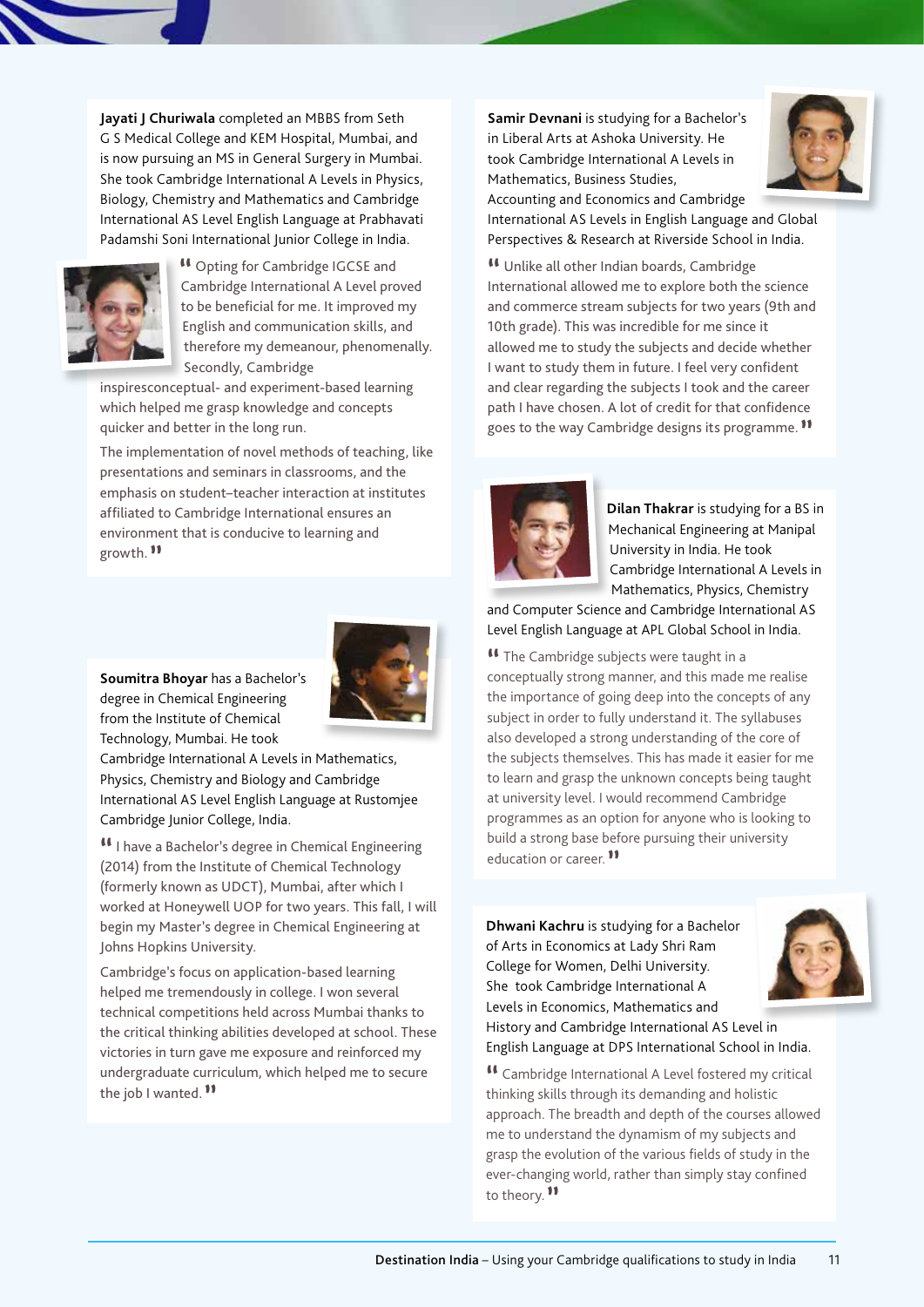**Jayati J Churiwala** completed an MBBS from Seth G S Medical College and KEM Hospital, Mumbai, and is now pursuing an MS in General Surgery in Mumbai. She took Cambridge International A Levels in Physics, Biology, Chemistry and Mathematics and Cambridge International AS Level English Language at Prabhavati Padamshi Soni International Junior College in India.



**"** Opting for Cambridge IGCSE and Cambridge International A Level proved to be beneficial for me. It improved my English and communication skills, and therefore my demeanour, phenomenally. Secondly, Cambridge

inspiresconceptual- and experiment-based learning which helped me grasp knowledge and concepts quicker and better in the long run.

The implementation of novel methods of teaching, like presentations and seminars in classrooms, and the emphasis on student–teacher interaction at institutes affiliated to Cambridge International ensures an environment that is conducive to learning and growth. **"**

**Soumitra Bhoyar** has a Bachelor's degree in Chemical Engineering from the Institute of Chemical Technology, Mumbai. He took

Cambridge International A Levels in Mathematics, Physics, Chemistry and Biology and Cambridge International AS Level English Language at Rustomjee Cambridge Junior College, India.

**"**I have a Bachelor's degree in Chemical Engineering (2014) from the Institute of Chemical Technology (formerly known as UDCT), Mumbai, after which I worked at Honeywell UOP for two years. This fall, I will begin my Master's degree in Chemical Engineering at Johns Hopkins University.

Cambridge's focus on application-based learning helped me tremendously in college. I won several technical competitions held across Mumbai thanks to the critical thinking abilities developed at school. These victories in turn gave me exposure and reinforced my undergraduate curriculum, which helped me to secure the job I wanted.**"**

**Samir Devnani** is studying for a Bachelor's in Liberal Arts at Ashoka University. He took Cambridge International A Levels in Mathematics, Business Studies, Accounting and Economics and Cambridge



International AS Levels in English Language and Global Perspectives & Research at Riverside School in India.

**"** Unlike all other Indian boards, Cambridge International allowed me to explore both the science and commerce stream subjects for two years (9th and 10th grade). This was incredible for me since it allowed me to study the subjects and decide whether I want to study them in future. I feel very confident and clear regarding the subjects I took and the career path I have chosen. A lot of credit for that confidence goes to the way Cambridge designs its programme.**"**



**Dilan Thakrar** is studying for a BS in Mechanical Engineering at Manipal University in India. He took Cambridge International A Levels in Mathematics, Physics, Chemistry

and Computer Science and Cambridge International AS Level English Language at APL Global School in India.

**"** The Cambridge subjects were taught in a conceptually strong manner, and this made me realise the importance of going deep into the concepts of any subject in order to fully understand it. The syllabuses also developed a strong understanding of the core of the subjects themselves. This has made it easier for me to learn and grasp the unknown concepts being taught at university level. I would recommend Cambridge programmes as an option for anyone who is looking to build a strong base before pursuing their university education or career.**"**

**Dhwani Kachru** is studying for a Bachelor of Arts in Economics at Lady Shri Ram College for Women, Delhi University. She took Cambridge International A Levels in Economics, Mathematics and History and Cambridge International AS Level in English Language at DPS International School in India.

**"** Cambridge International A Level fostered my critical thinking skills through its demanding and holistic approach. The breadth and depth of the courses allowed me to understand the dynamism of my subjects and grasp the evolution of the various fields of study in the ever-changing world, rather than simply stay confined to theory.**"**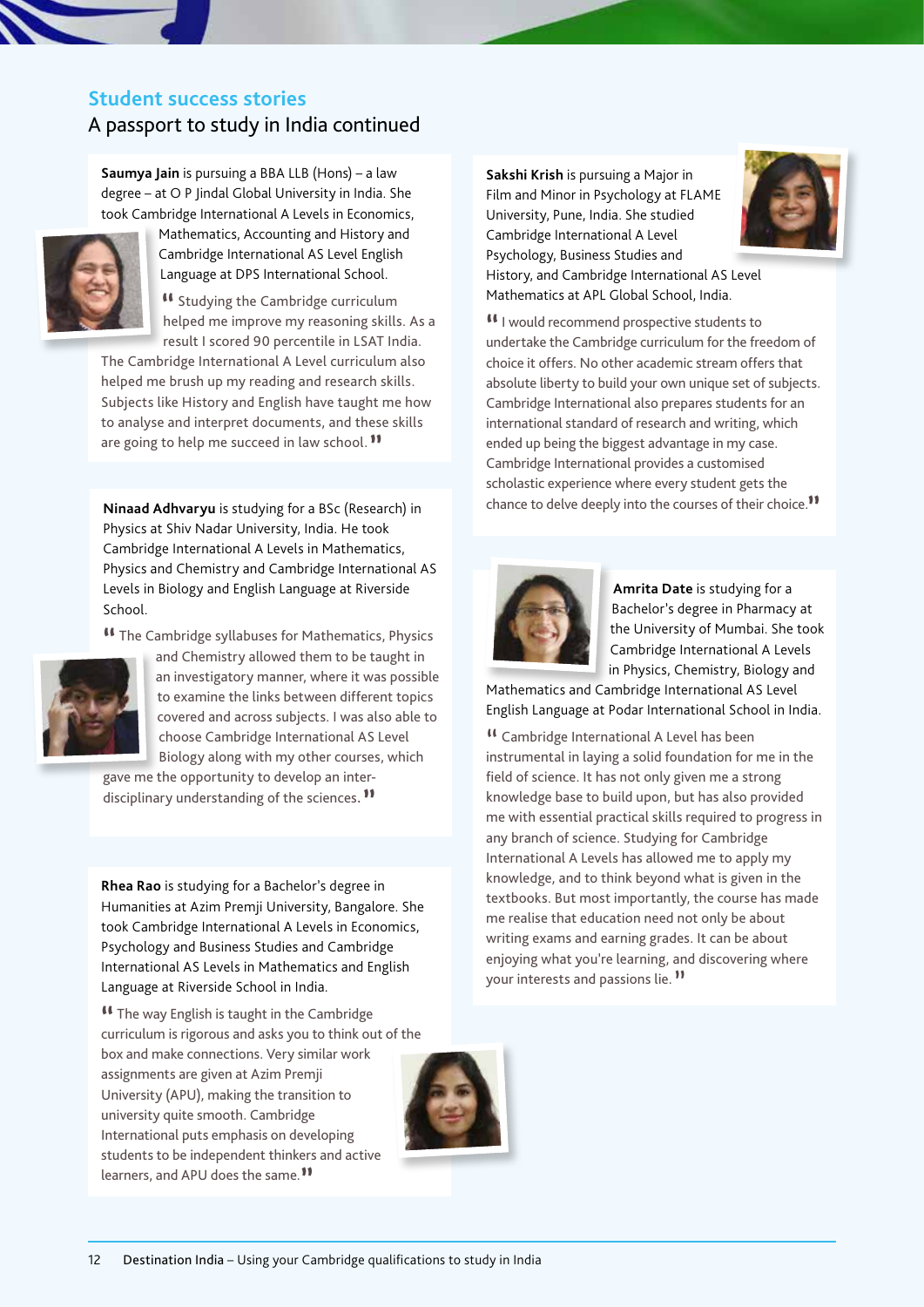#### **Student success stories**

#### A passport to study in India continued

**Saumya Jain** is pursuing a BBA LLB (Hons) – a law degree – at O P Jindal Global University in India. She took Cambridge International A Levels in Economics,



Mathematics, Accounting and History and Cambridge International AS Level English Language at DPS International School.

**"** Studying the Cambridge curriculum helped me improve my reasoning skills. As a result I scored 90 percentile in LSAT India.

The Cambridge International A Level curriculum also helped me brush up my reading and research skills. Subjects like History and English have taught me how to analyse and interpret documents, and these skills are going to help me succeed in law school.**"**

**Ninaad Adhvaryu** is studying for a BSc (Research) in Physics at Shiv Nadar University, India. He took Cambridge International A Levels in Mathematics, Physics and Chemistry and Cambridge International AS Levels in Biology and English Language at Riverside School.

**"** The Cambridge syllabuses for Mathematics, Physics



and Chemistry allowed them to be taught in an investigatory manner, where it was possible to examine the links between different topics covered and across subjects. I was also able to choose Cambridge International AS Level Biology along with my other courses, which

gave me the opportunity to develop an interdisciplinary understanding of the sciences**. "**

**Rhea Rao** is studying for a Bachelor's degree in Humanities at Azim Premji University, Bangalore. She took Cambridge International A Levels in Economics, Psychology and Business Studies and Cambridge International AS Levels in Mathematics and English Language at Riverside School in India.

**"** The way English is taught in the Cambridge curriculum is rigorous and asks you to think out of the box and make connections. Very similar work assignments are given at Azim Premji University (APU), making the transition to university quite smooth. Cambridge International puts emphasis on developing students to be independent thinkers and active learners, and APU does the same.**"**



**Sakshi Krish** is pursuing a Major in Film and Minor in Psychology at FLAME University, Pune, India. She studied Cambridge International A Level Psychology, Business Studies and History, and Cambridge International AS Level Mathematics at APL Global School, India.



**"**I would recommend prospective students to undertake the Cambridge curriculum for the freedom of choice it offers. No other academic stream offers that absolute liberty to build your own unique set of subjects. Cambridge International also prepares students for an international standard of research and writing, which ended up being the biggest advantage in my case. Cambridge International provides a customised scholastic experience where every student gets the chance to delve deeply into the courses of their choice.**"**



**Amrita Date** is studying for a Bachelor's degree in Pharmacy at the University of Mumbai. She took Cambridge International A Levels in Physics, Chemistry, Biology and

Mathematics and Cambridge International AS Level English Language at Podar International School in India.

<sup>11</sup> Cambridge International A Level has been instrumental in laying a solid foundation for me in the field of science. It has not only given me a strong knowledge base to build upon, but has also provided me with essential practical skills required to progress in any branch of science. Studying for Cambridge International A Levels has allowed me to apply my knowledge, and to think beyond what is given in the textbooks. But most importantly, the course has made me realise that education need not only be about writing exams and earning grades. It can be about enjoying what you're learning, and discovering where your interests and passions lie."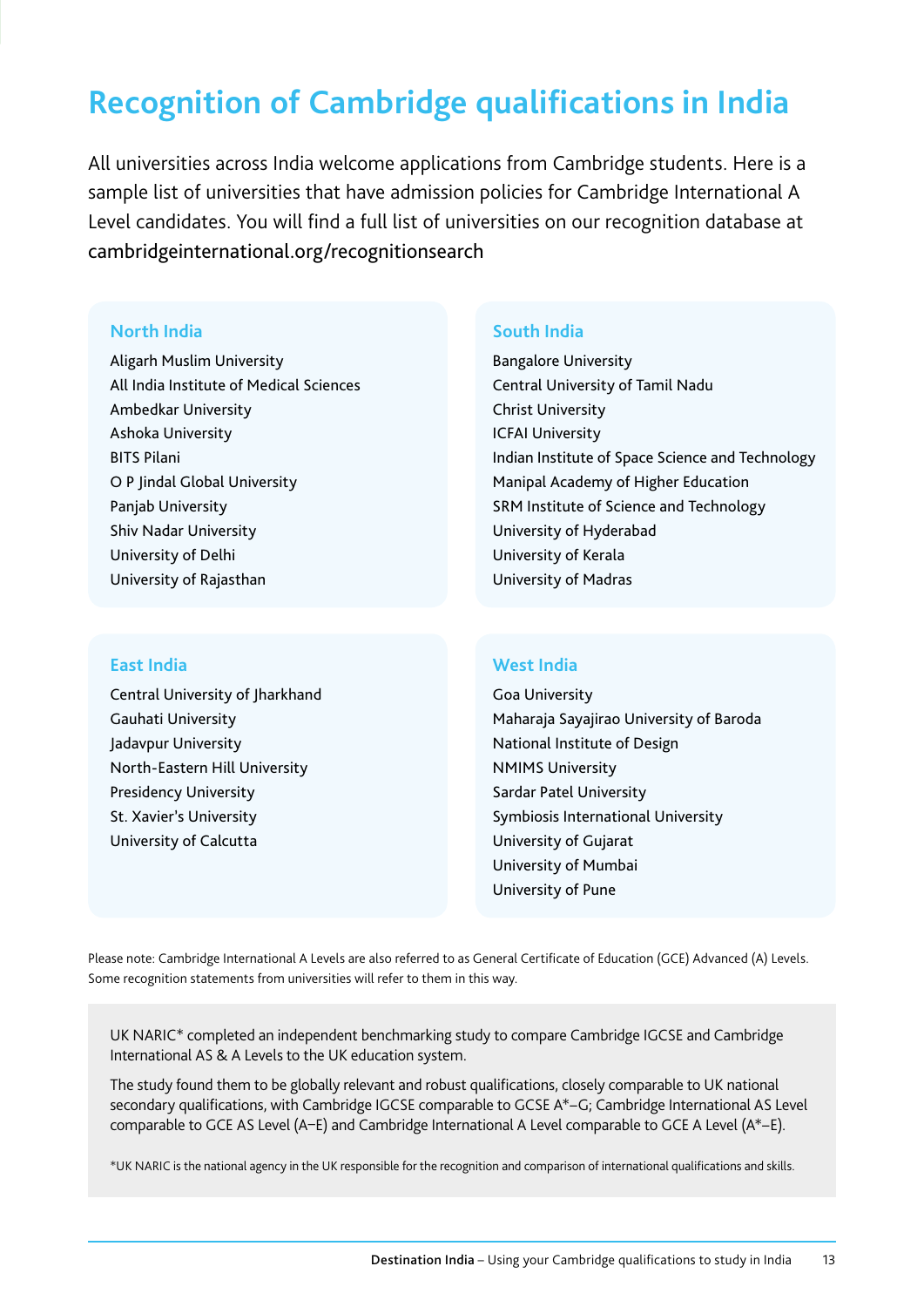## **Recognition of Cambridge qualifications in India**

All universities across India welcome applications from Cambridge students. Here is a sample list of universities that have admission policies for Cambridge International A Level candidates. You will find a full list of universities on our recognition database at cambridgeinternational.org/recognitionsearch

#### **North India**

Aligarh Muslim University All India Institute of Medical Sciences Ambedkar University Ashoka University BITS Pilani O P Jindal Global University Panjab University Shiv Nadar University University of Delhi University of Rajasthan

#### **East India**

Central University of Jharkhand Gauhati University Jadavpur University North-Eastern Hill University Presidency University St. Xavier's University University of Calcutta

#### **South India**

Bangalore University Central University of Tamil Nadu Christ University ICFAI University Indian Institute of Space Science and Technology Manipal Academy of Higher Education SRM Institute of Science and Technology University of Hyderabad University of Kerala University of Madras

#### **West India**

Goa University Maharaja Sayajirao University of Baroda National Institute of Design NMIMS University Sardar Patel University Symbiosis International University University of Gujarat University of Mumbai University of Pune

Please note: Cambridge International A Levels are also referred to as General Certificate of Education (GCE) Advanced (A) Levels. Some recognition statements from universities will refer to them in this way.

UK NARIC\* completed an independent benchmarking study to compare Cambridge IGCSE and Cambridge International AS & A Levels to the UK education system.

The study found them to be globally relevant and robust qualifications, closely comparable to UK national secondary qualifications, with Cambridge IGCSE comparable to GCSE A\*–G; Cambridge International AS Level comparable to GCE AS Level (A–E) and Cambridge International A Level comparable to GCE A Level (A\*–E).

\*UK NARIC is the national agency in the UK responsible for the recognition and comparison of international qualifications and skills.